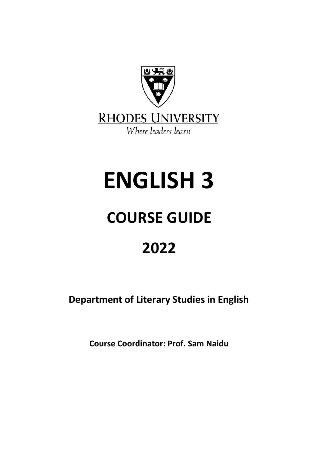

# **ENGLISH 3**

## **COURSE GUIDE**

### **2022**

**Department of Literary Studies in English**

**Course Coordinator: Prof. Sam Naidu**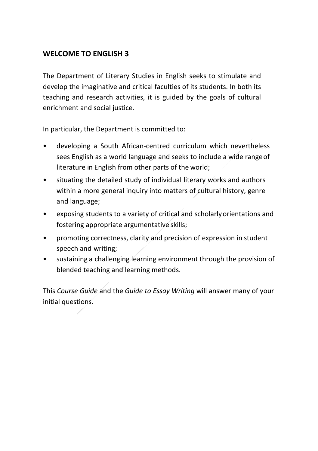#### **WELCOME TO ENGLISH 3**

The Department of Literary Studies in English seeks to stimulate and develop the imaginative and critical faculties of its students. In both its teaching and research activities, it is guided by the goals of cultural enrichment and social justice.

In particular, the Department is committed to:

- developing a South African-centred curriculum which nevertheless sees English as a world language and seeks to include a wide rangeof literature in English from other parts of the world;
- situating the detailed study of individual literary works and authors within a more general inquiry into matters of cultural history, genre and language;
- exposing students to a variety of critical and scholarly orientations and fostering appropriate argumentative skills;
- promoting correctness, clarity and precision of expression in student speech and writing;
- sustaining a challenging learning environment through the provision of blended teaching and learning methods.

This *Course Guide* and the *Guide to Essay Writing* will answer many of your initial questions.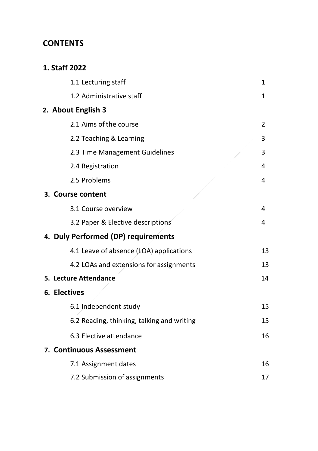#### **CONTENTS**

#### **1. Staff 2022**

| 1.1 Lecturing staff                        | 1  |
|--------------------------------------------|----|
| 1.2 Administrative staff                   | 1  |
| 2. About English 3                         |    |
| 2.1 Aims of the course                     | 2  |
| 2.2 Teaching & Learning                    | 3  |
| 2.3 Time Management Guidelines             | 3  |
| 2.4 Registration                           | 4  |
| 2.5 Problems                               | 4  |
| 3. Course content                          |    |
| 3.1 Course overview                        | 4  |
| 3.2 Paper & Elective descriptions          | 4  |
| 4. Duly Performed (DP) requirements        |    |
| 4.1 Leave of absence (LOA) applications    | 13 |
| 4.2 LOAs and extensions for assignments    | 13 |
| 5. Lecture Attendance                      | 14 |
| 6. Electives                               |    |
| 6.1 Independent study                      | 15 |
| 6.2 Reading, thinking, talking and writing | 15 |
| 6.3 Elective attendance                    | 16 |
| 7. Continuous Assessment                   |    |
| 7.1 Assignment dates                       | 16 |
| 7.2 Submission of assignments              | 17 |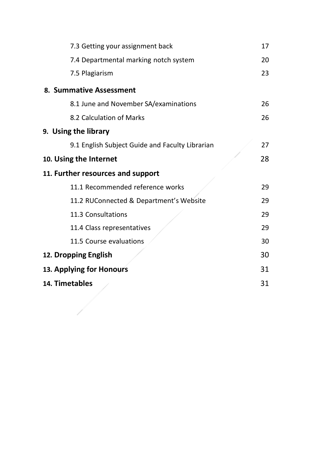| 7.3 Getting your assignment back                | 17 |
|-------------------------------------------------|----|
| 7.4 Departmental marking notch system           | 20 |
| 7.5 Plagiarism                                  | 23 |
| 8. Summative Assessment                         |    |
| 8.1 June and November SA/examinations           | 26 |
| 8.2 Calculation of Marks                        | 26 |
| 9. Using the library                            |    |
| 9.1 English Subject Guide and Faculty Librarian | 27 |
| 10. Using the Internet                          | 28 |
| 11. Further resources and support               |    |
| 11.1 Recommended reference works                | 29 |
| 11.2 RUConnected & Department's Website         | 29 |
| 11.3 Consultations                              | 29 |
| 11.4 Class representatives                      | 29 |
| 11.5 Course evaluations                         | 30 |
| 12. Dropping English                            | 30 |
| 13. Applying for Honours                        | 31 |
| 14. Timetables                                  | 31 |
|                                                 |    |
|                                                 |    |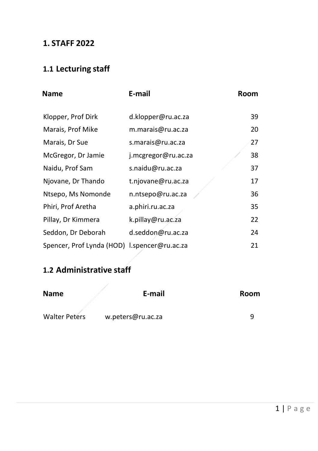#### **1. STAFF 2022**

### **1.1 Lecturing staff**

<span id="page-4-0"></span>

| <b>Name</b>                                  | E-mail              | Room |
|----------------------------------------------|---------------------|------|
| Klopper, Prof Dirk                           | d.klopper@ru.ac.za  | 39   |
| Marais, Prof Mike                            | m.marais@ru.ac.za   | 20   |
| Marais, Dr Sue                               | s.marais@ru.ac.za   | 27   |
| McGregor, Dr Jamie                           | j.mcgregor@ru.ac.za | 38   |
| Naidu, Prof Sam                              | s.naidu@ru.ac.za    | 37   |
| Njovane, Dr Thando                           | t.njovane@ru.ac.za  | 17   |
| Ntsepo, Ms Nomonde                           | n.ntsepo@ru.ac.za   | 36   |
| Phiri, Prof Aretha                           | a.phiri.ru.ac.za    | 35   |
| Pillay, Dr Kimmera                           | k.pillay@ru.ac.za   | 22   |
| Seddon, Dr Deborah                           | d.seddon@ru.ac.za   | 24   |
| Spencer, Prof Lynda (HOD) I.spencer@ru.ac.za |                     | 21   |

#### <span id="page-4-1"></span>**1.2 Administrative staff**

| <b>Name</b>          | E-mail            | Room |
|----------------------|-------------------|------|
| <b>Walter Peters</b> | w.peters@ru.ac.za |      |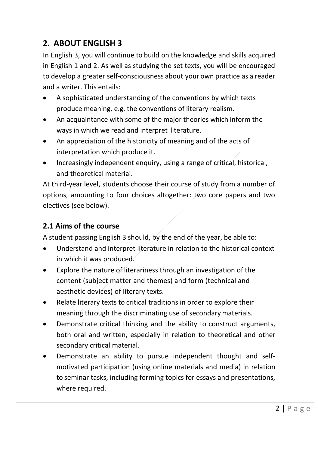#### **2. ABOUT ENGLISH 3**

In English 3, you will continue to build on the knowledge and skills acquired in English 1 and 2. As well as studying the set texts, you will be encouraged to develop a greater self-consciousness about your own practice as a reader and a writer. This entails:

- A sophisticated understanding of the conventions by which texts produce meaning, e.g. the conventions of literary realism.
- An acquaintance with some of the major theories which inform the ways in which we read and interpret literature.
- An appreciation of the historicity of meaning and of the acts of interpretation which produce it.
- Increasingly independent enquiry, using a range of critical, historical, and theoretical material.

At third-year level, students choose their course of study from a number of options, amounting to four choices altogether: two core papers and two electives (see below).

#### <span id="page-5-0"></span>**2.1 Aims of the course**

A student passing English 3 should, by the end of the year, be able to:

- Understand and interpret literature in relation to the historical context in which it was produced.
- Explore the nature of literariness through an investigation of the content (subject matter and themes) and form (technical and aesthetic devices) of literary texts.
- Relate literary texts to critical traditions in order to explore their meaning through the discriminating use of secondary materials.
- Demonstrate critical thinking and the ability to construct arguments, both oral and written, especially in relation to theoretical and other secondary critical material.
- Demonstrate an ability to pursue independent thought and selfmotivated participation (using online materials and media) in relation to seminar tasks, including forming topics for essays and presentations, where required.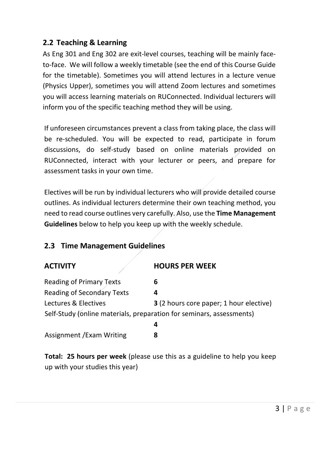#### **2.2 Teaching & Learning**

As Eng 301 and Eng 302 are exit-level courses, teaching will be mainly faceto-face. We will follow a weekly timetable (see the end of this Course Guide for the timetable). Sometimes you will attend lectures in a lecture venue (Physics Upper), sometimes you will attend Zoom lectures and sometimes you will access learning materials on RUConnected. Individual lecturers will inform you of the specific teaching method they will be using.

If unforeseen circumstances prevent a class from taking place, the class will be re-scheduled. You will be expected to read, participate in forum discussions, do self-study based on online materials provided on RUConnected, interact with your lecturer or peers, and prepare for assessment tasks in your own time.

Electives will be run by individual lecturers who will provide detailed course outlines. As individual lecturers determine their own teaching method, you need to read course outlines very carefully. Also, use the **Time Management Guidelines** below to help you keep up with the weekly schedule.

#### **2.3 Time Management Guidelines**

| <b>ACTIVITY</b>                                                      | <b>HOURS PER WEEK</b>                   |
|----------------------------------------------------------------------|-----------------------------------------|
| Reading of Primary Texts                                             | 6                                       |
| <b>Reading of Secondary Texts</b>                                    | 4                                       |
| Lectures & Electives                                                 | 3 (2 hours core paper; 1 hour elective) |
| Self-Study (online materials, preparation for seminars, assessments) |                                         |
|                                                                      | 4                                       |
| Assignment / Exam Writing                                            | 8                                       |

<span id="page-6-0"></span>**Total: 25 hours per week** (please use this as a guideline to help you keep up with your studies this year)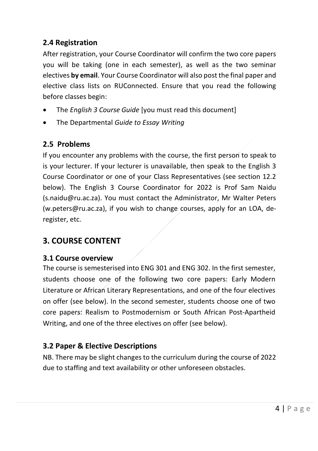#### **2.4 Registration**

After registration, your Course Coordinator will confirm the two core papers you will be taking (one in each semester), as well as the two seminar electives **by email**. Your Course Coordinator will also post the final paper and elective class lists on RUConnected. Ensure that you read the following before classes begin:

- The *English 3 Course Guide* [you must read this document]
- The Departmental *Guide to Essay Writing*

#### <span id="page-7-0"></span>**2.5 Problems**

If you encounter any problems with the course, the first person to speak to is your lecturer. If your lecturer is unavailable, then speak to the English 3 Course Coordinator or one of your Class Representatives (see section 12.2 below). The English 3 Course Coordinator for 2022 is Prof Sam Naidu (s.naidu@ru.ac.za). You must contact the Administrator, Mr Walter Peters (w.peters@ru.ac.za), if you wish to change courses, apply for an LOA, deregister, etc.

#### <span id="page-7-1"></span>**3. COURSE CONTENT**

#### <span id="page-7-2"></span>**3.1 Course overview**

The course is semesterised into ENG 301 and ENG 302. In the first semester, students choose one of the following two core papers: Early Modern Literature or African Literary Representations, and one of the four electives on offer (see below). In the second semester, students choose one of two core papers: Realism to Postmodernism or South African Post-Apartheid Writing, and one of the three electives on offer (see below).

#### <span id="page-7-3"></span>**3.2 Paper & Elective Descriptions**

NB. There may be slight changes to the curriculum during the course of 2022 due to staffing and text availability or other unforeseen obstacles.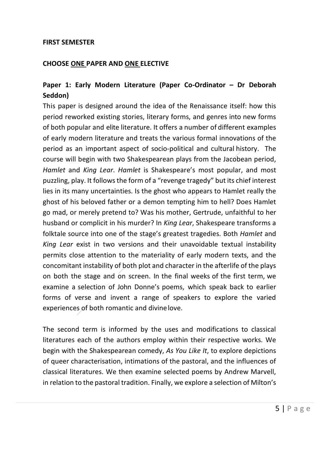#### **FIRST SEMESTER**

#### **CHOOSE ONE PAPER AND ONE ELECTIVE**

#### **Paper 1: Early Modern Literature (Paper Co-Ordinator – Dr Deborah Seddon)**

This paper is designed around the idea of the Renaissance itself: how this period reworked existing stories, literary forms, and genres into new forms of both popular and elite literature. It offers a number of different examples of early modern literature and treats the various formal innovations of the period as an important aspect of socio-political and cultural history. The course will begin with two Shakespearean plays from the Jacobean period, *Hamlet* and *King Lear*. *Hamlet* is Shakespeare's most popular, and most puzzling, play. It follows the form of a "revenge tragedy" but its chief interest lies in its many uncertainties. Is the ghost who appears to Hamlet really the ghost of his beloved father or a demon tempting him to hell? Does Hamlet go mad, or merely pretend to? Was his mother, Gertrude, unfaithful to her husband or complicit in his murder? In *King Lear*, Shakespeare transforms a folktale source into one of the stage's greatest tragedies. Both *Hamlet* and *King Lear* exist in two versions and their unavoidable textual instability permits close attention to the materiality of early modern texts, and the concomitant instability of both plot and character in the afterlife of the plays on both the stage and on screen. In the final weeks of the first term, we examine a selection of John Donne's poems, which speak back to earlier forms of verse and invent a range of speakers to explore the varied experiences of both romantic and divinelove.

The second term is informed by the uses and modifications to classical literatures each of the authors employ within their respective works. We begin with the Shakespearean comedy, *As You Like It*, to explore depictions of queer characterisation, intimations of the pastoral, and the influences of classical literatures. We then examine selected poems by Andrew Marvell, in relation to the pastoral tradition. Finally, we explore a selection of Milton's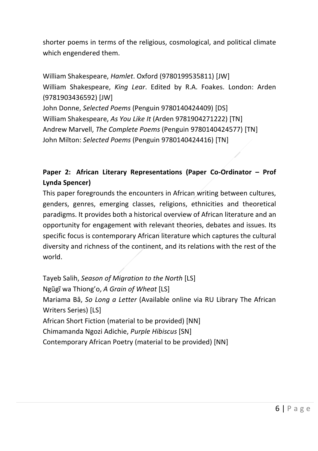shorter poems in terms of the religious, cosmological, and political climate which engendered them.

William Shakespeare, *Hamlet*. Oxford (9780199535811) [JW] William Shakespeare, *King Lear*. Edited by R.A. Foakes. London: Arden (9781903436592) [JW] John Donne, *Selected Poems* (Penguin 9780140424409) [DS] William Shakespeare, *As You Like It* (Arden 9781904271222) [TN] Andrew Marvell, *The Complete Poems* (Penguin 9780140424577) [TN] John Milton: *Selected Poems* (Penguin 9780140424416) [TN]

#### **Paper 2: African Literary Representations (Paper Co-Ordinator – Prof Lynda Spencer)**

This paper foregrounds the encounters in African writing between cultures, genders, genres, emerging classes, religions, ethnicities and theoretical paradigms. It provides both a historical overview of African literature and an opportunity for engagement with relevant theories, debates and issues. Its specific focus is contemporary African literature which captures the cultural diversity and richness of the continent, and its relations with the rest of the world.

Tayeb Salih, *Season of Migration to the North* [LS] Ngũgĩ wa Thiong'o, *A Grain of Wheat* [LS] Mariama Bâ, *So Long a Letter* (Available online via RU Library The African Writers Series) [LS] African Short Fiction (material to be provided) [NN] Chimamanda Ngozi Adichie, *Purple Hibiscus* [SN] Contemporary African Poetry (material to be provided) [NN]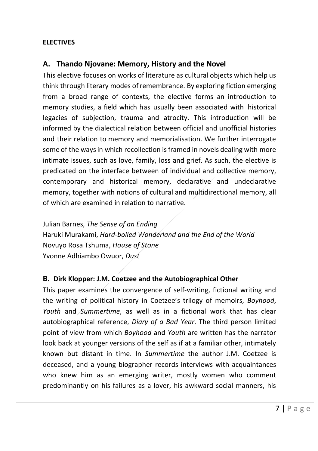#### **ELECTIVES**

#### **A. Thando Njovane: Memory, History and the Novel**

This elective focuses on works of literature as cultural objects which help us think through literary modes ofremembrance. By exploring fiction emerging from a broad range of contexts, the elective forms an introduction to memory studies, a field which has usually been associated with historical legacies of subjection, trauma and atrocity. This introduction will be informed by the dialectical relation between official and unofficial histories and their relation to memory and memorialisation. We further interrogate some of the ways in which recollection is framed in novels dealing with more intimate issues, such as love, family, loss and grief. As such, the elective is predicated on the interface between of individual and collective memory, contemporary and historical memory, declarative and undeclarative memory, together with notions of cultural and multidirectional memory, all of which are examined in relation to narrative.

Julian Barnes, *The Sense of an Ending* Haruki Murakami, *Hard-boiled Wonderland and the End of the World* Novuyo Rosa Tshuma, *House of Stone* Yvonne Adhiambo Owuor, *Dust*

#### **B. Dirk Klopper: J.M. Coetzee and the Autobiographical Other**

This paper examines the convergence of self-writing, fictional writing and the writing of political history in Coetzee's trilogy of memoirs, *Boyhood*, *Youth* and *Summertime*, as well as in a fictional work that has clear autobiographical reference, *Diary of a Bad Year*. The third person limited point of view from which *Boyhood* and *Youth* are written has the narrator look back at younger versions of the self as if at a familiar other, intimately known but distant in time. In *Summertime* the author J.M. Coetzee is deceased, and a young biographer records interviews with acquaintances who knew him as an emerging writer, mostly women who comment predominantly on his failures as a lover, his awkward social manners, his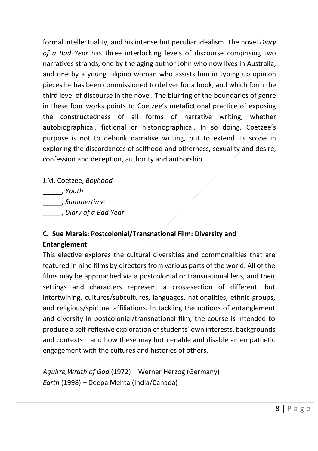formal intellectuality, and his intense but peculiar idealism. The novel *Diary of a Bad Year* has three interlocking levels of discourse comprising two narratives strands, one by the aging author John who now lives in Australia, and one by a young Filipino woman who assists him in typing up opinion pieces he has been commissioned to deliver for a book, and which form the third level of discourse in the novel. The blurring of the boundaries of genre in these four works points to Coetzee's metafictional practice of exposing the constructedness of all forms of narrative writing, whether autobiographical, fictional or historiographical. In so doing, Coetzee's purpose is not to debunk narrative writing, but to extend its scope in exploring the discordances of selfhood and otherness, sexuality and desire, confession and deception, authority and authorship.

J.M. Coetzee, *Boyhood* 

\_\_\_\_\_, *Youth*

\_\_\_\_\_, *Summertime*

\_\_\_\_\_, *Diary of a Bad Year*

#### **C. Sue Marais: Postcolonial/Transnational Film: Diversity and Entanglement**

This elective explores the cultural diversities and commonalities that are featured in nine films by directors from various parts of the world. All of the films may be approached via a postcolonial or transnational lens, and their settings and characters represent a cross-section of different, but intertwining, cultures/subcultures, languages, nationalities, ethnic groups, and religious/spiritual affiliations. In tackling the notions of entanglement and diversity in postcolonial/transnational film, the course is intended to produce a self-reflexive exploration of students' own interests, backgrounds and contexts – and how these may both enable and disable an empathetic engagement with the cultures and histories of others.

*Aguirre,Wrath of God* (1972) – Werner Herzog (Germany) *Earth* (1998) – Deepa Mehta (India/Canada)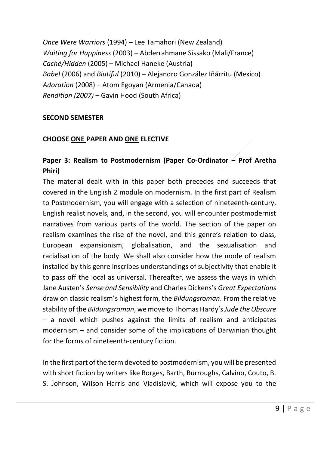*Once Were Warriors* (1994) – Lee Tamahori (New Zealand) *Waiting for Happiness* (2003) *–* Abderrahmane Sissako (Mali/France) *Caché/Hidden* (2005) – Michael Haneke (Austria) *Babel* (2006) and *Biutiful* (2010) – Alejandro González Iñárritu (Mexico) *Adoration* (2008) – Atom Egoyan (Armenia/Canada) *Rendition (2007) –* Gavin Hood (South Africa)

#### **SECOND SEMESTER**

#### **CHOOSE ONE PAPER AND ONE ELECTIVE**

#### **Paper 3: Realism to Postmodernism (Paper Co-Ordinator – Prof Aretha Phiri)**

The material dealt with in this paper both precedes and succeeds that covered in the English 2 module on modernism. In the first part of Realism to Postmodernism, you will engage with a selection of nineteenth-century, English realist novels, and, in the second, you will encounter postmodernist narratives from various parts of the world. The section of the paper on realism examines the rise of the novel, and this genre's relation to class, European expansionism, globalisation, and the sexualisation and racialisation of the body. We shall also consider how the mode of realism installed by this genre inscribes understandings of subjectivity that enable it to pass off the local as universal. Thereafter, we assess the ways in which Jane Austen's *Sense and Sensibility* and Charles Dickens's *Great Expectations* draw on classic realism's highest form, the *Bildungsroman*. From the relative stability of the *Bildungsroman*, we move to Thomas Hardy's *Jude the Obscure* – a novel which pushes against the limits of realism and anticipates modernism – and consider some of the implications of Darwinian thought for the forms of nineteenth-century fiction.

In the first part of the term devoted to postmodernism, you will be presented with short fiction by writers like Borges, Barth, Burroughs, Calvino, Couto, B. S. Johnson, Wilson Harris and Vladislavić, which will expose you to the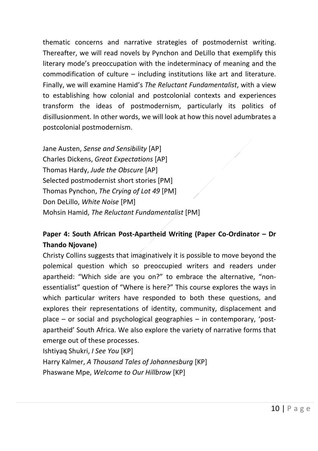thematic concerns and narrative strategies of postmodernist writing. Thereafter, we will read novels by Pynchon and DeLillo that exemplify this literary mode's preoccupation with the indeterminacy of meaning and the commodification of culture – including institutions like art and literature. Finally, we will examine Hamid's *The Reluctant Fundamentalist*, with a view to establishing how colonial and postcolonial contexts and experiences transform the ideas of postmodernism, particularly its politics of disillusionment. In other words, we will look at how this novel adumbrates a postcolonial postmodernism.

Jane Austen, *Sense and Sensibility* [AP] Charles Dickens, *Great Expectations* [AP] Thomas Hardy, *Jude the Obscure* [AP] Selected postmodernist short stories [PM] Thomas Pynchon, *The Crying of Lot 49* [PM] Don DeLillo, *White Noise* [PM] Mohsin Hamid, *The Reluctant Fundamentalist* [PM]

#### **Paper 4: South African Post-Apartheid Writing (Paper Co-Ordinator – Dr Thando Njovane)**

Christy Collins suggests that imaginatively it is possible to move beyond the polemical question which so preoccupied writers and readers under apartheid: "Which side are you on?" to embrace the alternative, "nonessentialist" question of "Where is here?" This course explores the ways in which particular writers have responded to both these questions, and explores their representations of identity, community, displacement and place – or social and psychological geographies – in contemporary, 'postapartheid' South Africa. We also explore the variety of narrative forms that emerge out of these processes.

Ishtiyaq Shukri, *I See You* [KP] Harry Kalmer, *A Thousand Tales of Johannesburg* [KP] Phaswane Mpe, *Welcome to Our Hillbrow* [KP]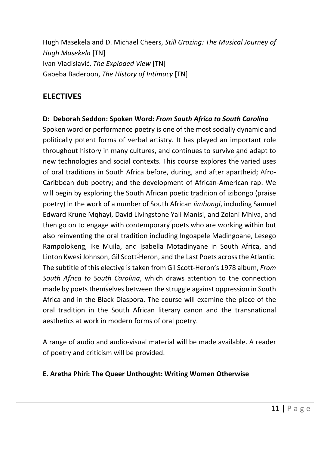Hugh Masekela and D. Michael Cheers, *Still Grazing: The Musical Journey of Hugh Masekela* [TN] Ivan Vladislavić, *The Exploded View* [TN] Gabeba Baderoon, *The History of Intimacy* [TN]

#### **ELECTIVES**

#### **D: Deborah Seddon: Spoken Word:** *From South Africa to South Carolina*

Spoken word or performance poetry is one of the most socially dynamic and politically potent forms of verbal artistry. It has played an important role throughout history in many cultures, and continues to survive and adapt to new technologies and social contexts. This course explores the varied uses of oral traditions in South Africa before, during, and after apartheid; Afro-Caribbean dub poetry; and the development of African-American rap. We will begin by exploring the South African poetic tradition of izibongo (praise poetry) in the work of a number of South African *iimbongi*, including Samuel Edward Krune Mqhayi, David Livingstone Yali Manisi, and Zolani Mhiva, and then go on to engage with contemporary poets who are working within but also reinventing the oral tradition including Ingoapele Madingoane, Lesego Rampolokeng, Ike Muila, and Isabella Motadinyane in South Africa, and Linton Kwesi Johnson, Gil Scott-Heron, and the Last Poets across the Atlantic. The subtitle of this elective is taken from Gil Scott-Heron's 1978 album, *From South Africa to South Carolina*, which draws attention to the connection made by poets themselves between the struggle against oppression in South Africa and in the Black Diaspora. The course will examine the place of the oral tradition in the South African literary canon and the transnational aesthetics at work in modern forms of oral poetry.

A range of audio and audio-visual material will be made available. A reader of poetry and criticism will be provided.

#### **E. Aretha Phiri: The Queer Unthought: Writing Women Otherwise**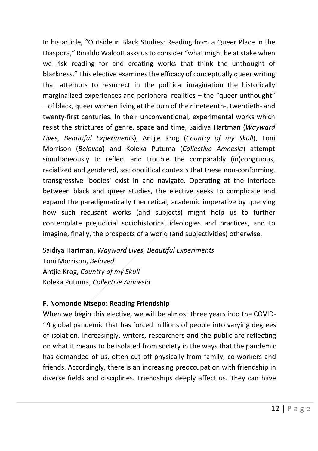In his article, "Outside in Black Studies: Reading from a Queer Place in the Diaspora," Rinaldo Walcott asks us to consider "what might be at stake when we risk reading for and creating works that think the unthought of blackness." This elective examines the efficacy of conceptually queer writing that attempts to resurrect in the political imagination the historically marginalized experiences and peripheral realities – the "queer unthought" – of black, queer women living at the turn of the nineteenth-, twentieth- and twenty-first centuries. In their unconventional, experimental works which resist the strictures of genre, space and time, Saidiya Hartman (*Wayward Lives, Beautiful Experiments*), Antjie Krog (*Country of my Skull*), Toni Morrison (*Beloved*) and Koleka Putuma (*Collective Amnesia*) attempt simultaneously to reflect and trouble the comparably (in)congruous, racialized and gendered, sociopolitical contexts that these non-conforming, transgressive 'bodies' exist in and navigate. Operating at the interface between black and queer studies, the elective seeks to complicate and expand the paradigmatically theoretical, academic imperative by querying how such recusant works (and subjects) might help us to further contemplate prejudicial sociohistorical ideologies and practices, and to imagine, finally, the prospects of a world (and subjectivities) otherwise.

Saidiya Hartman, *Wayward Lives, Beautiful Experiments* Toni Morrison, *Beloved* Antjie Krog, *Country of my Skull* Koleka Putuma, *Collective Amnesia*

#### **F. Nomonde Ntsepo: Reading Friendship**

When we begin this elective, we will be almost three years into the COVID-19 global pandemic that has forced millions of people into varying degrees of isolation. Increasingly, writers, researchers and the public are reflecting on what it means to be isolated from society in the ways that the pandemic has demanded of us, often cut off physically from family, co-workers and friends. Accordingly, there is an increasing preoccupation with friendship in diverse fields and disciplines. Friendships deeply affect us. They can have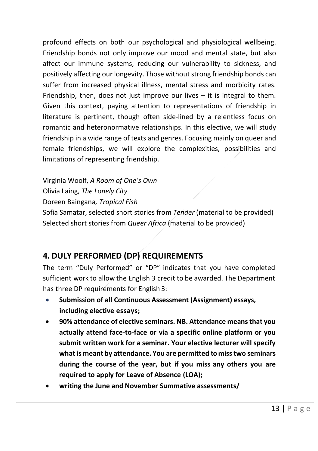profound effects on both our psychological and physiological wellbeing. Friendship bonds not only improve our mood and mental state, but also affect our immune systems, reducing our vulnerability to sickness, and positively affecting our longevity. Those without strong friendship bonds can suffer from increased physical illness, mental stress and morbidity rates. Friendship, then, does not just improve our lives  $-$  it is integral to them. Given this context, paying attention to representations of friendship in literature is pertinent, though often side-lined by a relentless focus on romantic and heteronormative relationships. In this elective, we will study friendship in a wide range of texts and genres. Focusing mainly on queer and female friendships, we will explore the complexities, possibilities and limitations of representing friendship.

Virginia Woolf, *A Room of One's Own* Olivia Laing, *The Lonely City* Doreen Baingana*, Tropical Fish* Sofia Samatar, selected short stories from *Tender* (material to be provided) Selected short stories from *Queer Africa* (material to be provided)

#### **4. DULY PERFORMED (DP) REQUIREMENTS**

The term "Duly Performed" or "DP" indicates that you have completed sufficient work to allow the English 3 credit to be awarded. The Department has three DP requirements for English 3:

- **Submission of all Continuous Assessment (Assignment) essays, including elective essays;**
- **90% attendance of elective seminars. NB. Attendance means that you actually attend face-to-face or via a specific online platform or you submit written work for a seminar. Your elective lecturer will specify what is meant by attendance. You are permitted to miss two seminars during the course of the year, but if you miss any others you are required to apply for Leave of Absence (LOA);**
- **writing the June and November Summative assessments/**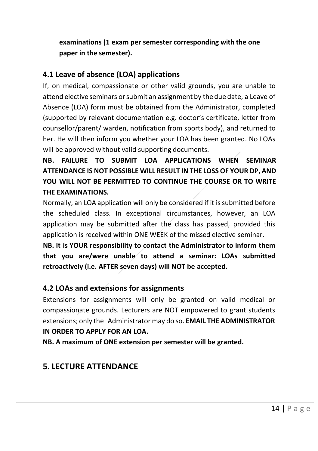**examinations (1 exam per semester corresponding with the one paper in the semester).**

#### **4.1 Leave of absence (LOA) applications**

If, on medical, compassionate or other valid grounds, you are unable to attend elective seminars orsubmit an assignment by the due date, a Leave of Absence (LOA) form must be obtained from the Administrator, completed (supported by relevant documentation e.g. doctor's certificate, letter from counsellor/parent/ warden, notification from sports body), and returned to her. He will then inform you whether your LOA has been granted. No LOAs will be approved without valid supporting documents.

**NB. FAILURE TO SUBMIT LOA APPLICATIONS WHEN SEMINAR ATTENDANCE IS NOT POSSIBLE WILL RESULT IN THE LOSS OF YOUR DP, AND YOU WILL NOT BE PERMITTED TO CONTINUE THE COURSE OR TO WRITE THE EXAMINATIONS.**

Normally, an LOA application will only be considered if it is submitted before the scheduled class. In exceptional circumstances, however, an LOA application may be submitted after the class has passed, provided this application is received within ONE WEEK of the missed elective seminar.

**NB. It is YOUR responsibility to contact the Administrator to inform them that you are/were unable to attend a seminar: LOAs submitted retroactively (i.e. AFTER seven days) will NOT be accepted.**

#### <span id="page-17-0"></span>**4.2 LOAs and extensions for assignments**

Extensions for assignments will only be granted on valid medical or compassionate grounds. Lecturers are NOT empowered to grant students extensions; only the Administrator may do so. **EMAIL THE ADMINISTRATOR IN ORDER TO APPLY FOR AN LOA.** 

**NB. A maximum of ONE extension per semester will be granted.**

#### **5. LECTURE ATTENDANCE**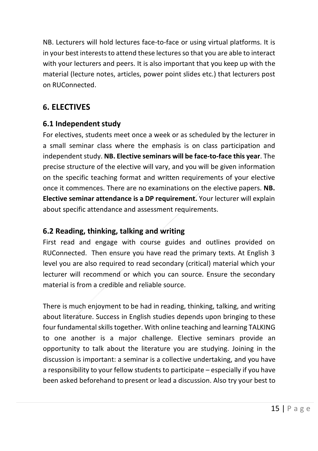NB. Lecturers will hold lectures face-to-face or using virtual platforms. It is in your best interests to attend these lectures so that you are able to interact with your lecturers and peers. It is also important that you keep up with the material (lecture notes, articles, power point slides etc.) that lecturers post on RUConnected.

#### <span id="page-18-0"></span>**6. ELECTIVES**

#### <span id="page-18-1"></span>**6.1 Independent study**

For electives, students meet once a week or as scheduled by the lecturer in a small seminar class where the emphasis is on class participation and independent study. **NB. Elective seminars will be face-to-face this year**. The precise structure of the elective will vary, and you will be given information on the specific teaching format and written requirements of your elective once it commences. There are no examinations on the elective papers. **NB. Elective seminar attendance is a DP requirement.** Your lecturer will explain about specific attendance and assessment requirements.

#### <span id="page-18-2"></span>**6.2 Reading, thinking, talking and writing**

First read and engage with course guides and outlines provided on RUConnected. Then ensure you have read the primary texts. At English 3 level you are also required to read secondary (critical) material which your lecturer will recommend or which you can source. Ensure the secondary material is from a credible and reliable source.

There is much enjoyment to be had in reading, thinking, talking, and writing about literature. Success in English studies depends upon bringing to these four fundamental skills together. With online teaching and learning TALKING to one another is a major challenge. Elective seminars provide an opportunity to talk about the literature you are studying. Joining in the discussion is important: a seminar is a collective undertaking, and you have a responsibility to your fellow students to participate – especially if you have been asked beforehand to present or lead a discussion. Also try your best to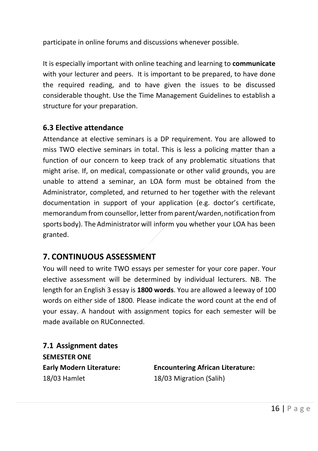participate in online forums and discussions whenever possible.

<span id="page-19-0"></span>It is especially important with online teaching and learning to **communicate** with your lecturer and peers. It is important to be prepared, to have done the required reading, and to have given the issues to be discussed considerable thought. Use the Time Management Guidelines to establish a structure for your preparation.

#### **6.3 Elective attendance**

Attendance at elective seminars is a DP requirement. You are allowed to miss TWO elective seminars in total. This is less a policing matter than a function of our concern to keep track of any problematic situations that might arise. If, on medical, compassionate or other valid grounds, you are unable to attend a seminar, an LOA form must be obtained from the Administrator, completed, and returned to her together with the relevant documentation in support of your application (e.g. doctor's certificate, memorandum from counsellor, letter from parent/warden, notification from sports body). The Administrator will inform you whether your LOA has been granted.

#### **7. CONTINUOUS ASSESSMENT**

You will need to write TWO essays per semester for your core paper. Your elective assessment will be determined by individual lecturers. NB. The length for an English 3 essay is **1800 words**. You are allowed a leeway of 100 words on either side of 1800. Please indicate the word count at the end of your essay. A handout with assignment topics for each semester will be made available on RUConnected.

<span id="page-19-1"></span>**7.1 Assignment dates SEMESTER ONE** 18/03 Hamlet 18/03 Migration (Salih)

**Early Modern Literature: Encountering African Literature:**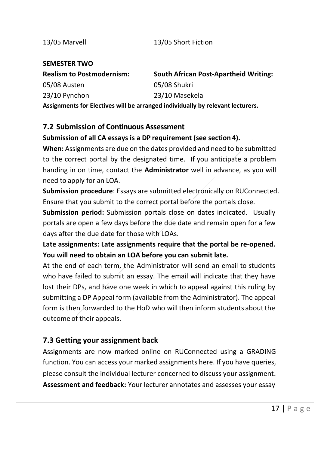#### 13/05 Marvell 13/05 Short Fiction

#### **SEMESTER TWO**

| <b>Realism to Postmodernism:</b>                                               | <b>South African Post-Apartheid Writing:</b> |  |  |  |
|--------------------------------------------------------------------------------|----------------------------------------------|--|--|--|
| 05/08 Austen                                                                   | 05/08 Shukri                                 |  |  |  |
| 23/10 Pynchon                                                                  | 23/10 Masekela                               |  |  |  |
| Assignments for Electives will be arranged individually by relevant lecturers. |                                              |  |  |  |

#### <span id="page-20-0"></span>**7.2 Submission of Continuous Assessment**

#### **Submission of all CA essays is a DP requirement (see section 4).**

**When:** Assignments are due on the dates provided and need to be submitted to the correct portal by the designated time. If you anticipate a problem handing in on time, contact the **Administrator** well in advance, as you will need to apply for an LOA.

**Submission procedure**: Essays are submitted electronically on RUConnected. Ensure that you submit to the correct portal before the portals close.

**Submission period:** Submission portals close on dates indicated. Usually portals are open a few days before the due date and remain open for a few days after the due date for those with LOAs.

**Late assignments: Late assignments require that the portal be re-opened. You will need to obtain an LOA before you can submit late.** 

At the end of each term, the Administrator will send an email to students who have failed to submit an essay. The email will indicate that they have lost their DPs, and have one week in which to appeal against this ruling by submitting a DP Appeal form (available from the Administrator). The appeal form is then forwarded to the HoD who will then inform students about the outcome of their appeals.

#### <span id="page-20-1"></span>**7.3 Getting your assignment back**

Assignments are now marked online on RUConnected using a GRADING function. You can access your marked assignments here. If you have queries, please consult the individual lecturer concerned to discuss your assignment. **Assessment and feedback:** Your lecturer annotates and assesses your essay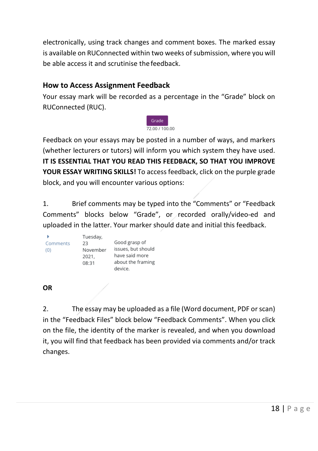electronically, using track changes and comment boxes. The marked essay is available on RUConnected within two weeks of submission, where you will be able access it and scrutinise the feedback.

#### **How to Access Assignment Feedback**

Your essay mark will be recorded as a percentage in the "Grade" block on RUConnected (RUC).



Feedback on your essays may be posted in a number of ways, and markers (whether lecturers or tutors) will inform you which system they have used. **IT IS ESSENTIAL THAT YOU READ THIS FEEDBACK, SO THAT YOU IMPROVE YOUR ESSAY WRITING SKILLS!** To access feedback, click on the purple grade block, and you will encounter various options:

1. Brief comments may be typed into the "Comments" or "Feedback Comments" blocks below "Grade", or recorded orally/video-ed and uploaded in the latter. Your marker should date and initial this feedback.

|          | Tuesday, |                    |
|----------|----------|--------------------|
| Comments | 23       | Good grasp of      |
| (0)      | November | issues, but should |
|          | 2021.    | have said more     |
|          | 08:31    | about the framing  |
|          |          | device             |

#### **OR**

2. The essay may be uploaded as a file (Word document, PDF or scan) in the "Feedback Files" block below "Feedback Comments". When you click on the file, the identity of the marker is revealed, and when you download it, you will find that feedback has been provided via comments and/or track changes.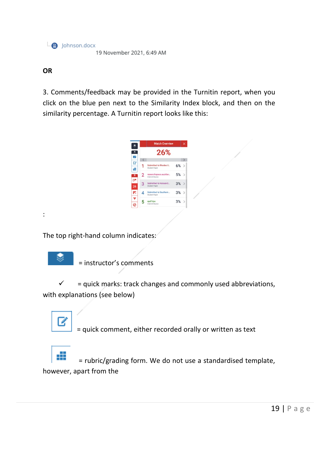$\Box$  Iohnson.docx 19 November 2021, 6:49 AM

#### **OR**

3. Comments/feedback may be provided in the Turnitin report, when you click on the blue pen next to the Similarity Index block, and then on the similarity percentage. A Turnitin report looks like this:



The top right-hand column indicates:



ø

:

= instructor's comments

 $\checkmark$  = quick marks: track changes and commonly used abbreviations, with explanations (see below)

= quick comment, either recorded orally or written as text

 $\blacksquare$  = rubric/grading form. We do not use a standardised template, however, apart from the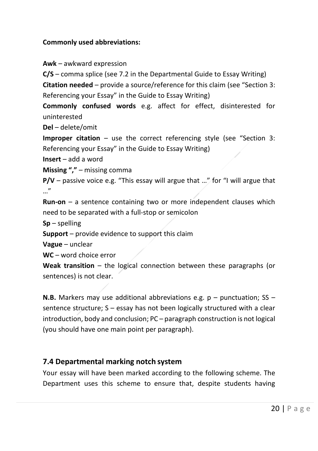#### **Commonly used abbreviations:**

**Awk** – awkward expression

**C/S** – comma splice (see 7.2 in the Departmental Guide to Essay Writing) **Citation needed** – provide a source/reference for this claim (see "Section 3: Referencing your Essay" in the Guide to Essay Writing)

**Commonly confused words** e.g. affect for effect, disinterested for uninterested

**Del** – delete/omit

**Improper citation** – use the correct referencing style (see "Section 3: Referencing your Essay" in the Guide to Essay Writing)

**Insert** – add a word

**Missing ","** – missing comma

**P/V** – passive voice e.g. "This essay will argue that ..." for "I will argue that  $\mathbb{R}^n$ 

**Run-on** – a sentence containing two or more independent clauses which need to be separated with a full-stop or semicolon

**Sp** – spelling

**Support** – provide evidence to support this claim

**Vague** – unclear

**WC** – word choice error

**Weak transition** – the logical connection between these paragraphs (or sentences) is not clear.

**N.B.** Markers may use additional abbreviations e.g. p – punctuation; SS – sentence structure; S – essay has not been logically structured with a clear introduction, body and conclusion; PC – paragraph construction is not logical (you should have one main point per paragraph).

#### <span id="page-23-0"></span>**7.4 Departmental marking notch system**

Your essay will have been marked according to the following scheme. The Department uses this scheme to ensure that, despite students having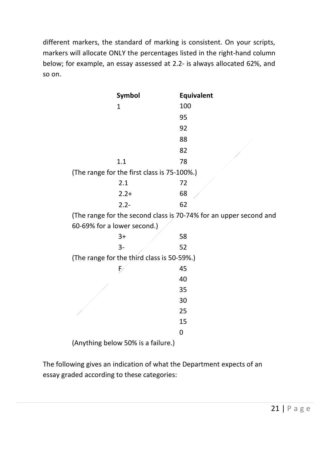different markers, the standard of marking is consistent. On your scripts, markers will allocate ONLY the percentages listed in the right-hand column below; for example, an essay assessed at 2.2- is always allocated 62%, and so on.

| Symbol                                                            | Equivalent |
|-------------------------------------------------------------------|------------|
| 1                                                                 | 100        |
|                                                                   | 95         |
|                                                                   | 92         |
|                                                                   | 88         |
|                                                                   | 82         |
| 1.1                                                               | 78         |
| (The range for the first class is 75-100%.)                       |            |
| 2.1                                                               | 72         |
| $2.2+$                                                            | 68         |
| $2.2 -$                                                           | 62         |
| (The range for the second class is 70-74% for an upper second and |            |
| 60-69% for a lower second.)                                       |            |
| $3+$                                                              | 58         |
| 3-                                                                | 52         |
| (The range for the third class is 50-59%.)                        |            |
| Ð                                                                 | 45         |
|                                                                   | 40         |
|                                                                   | 35         |
|                                                                   | 30         |
|                                                                   | 25         |
|                                                                   | 15         |
|                                                                   | 0          |

(Anything below 50% is a failure.)

The following gives an indication of what the Department expects of an essay graded according to these categories: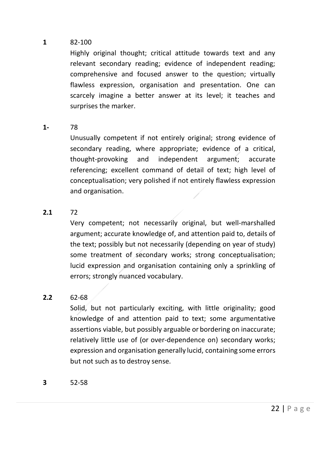#### **1** 82-100

Highly original thought; critical attitude towards text and any relevant secondary reading; evidence of independent reading; comprehensive and focused answer to the question; virtually flawless expression, organisation and presentation. One can scarcely imagine a better answer at its level; it teaches and surprises the marker.

#### **1-** 78

Unusually competent if not entirely original; strong evidence of secondary reading, where appropriate; evidence of a critical, thought-provoking and independent argument; accurate referencing; excellent command of detail of text; high level of conceptualisation; very polished if not entirely flawless expression and organisation.

#### **2.1** 72

Very competent; not necessarily original, but well-marshalled argument; accurate knowledge of, and attention paid to, details of the text; possibly but not necessarily (depending on year of study) some treatment of secondary works; strong conceptualisation; lucid expression and organisation containing only a sprinkling of errors; strongly nuanced vocabulary.

#### **2.2** 62-68

Solid, but not particularly exciting, with little originality; good knowledge of and attention paid to text; some argumentative assertions viable, but possibly arguable or bordering on inaccurate; relatively little use of (or over-dependence on) secondary works; expression and organisation generally lucid, containing some errors but not such as to destroy sense.

**3** 52-58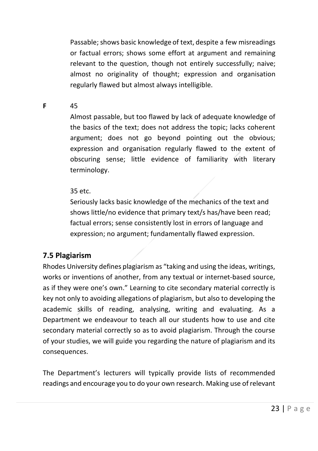Passable; shows basic knowledge of text, despite a few misreadings or factual errors; shows some effort at argument and remaining relevant to the question, though not entirely successfully; naive; almost no originality of thought; expression and organisation regularly flawed but almost always intelligible.

**F** 45

Almost passable, but too flawed by lack of adequate knowledge of the basics of the text; does not address the topic; lacks coherent argument; does not go beyond pointing out the obvious; expression and organisation regularly flawed to the extent of obscuring sense; little evidence of familiarity with literary terminology.

#### 35 etc.

Seriously lacks basic knowledge of the mechanics of the text and shows little/no evidence that primary text/s has/have been read; factual errors; sense consistently lost in errors of language and expression; no argument; fundamentally flawed expression.

#### **7.5 Plagiarism**

Rhodes University defines plagiarism as "taking and using the ideas, writings, works or inventions of another, from any textual or internet-based source, as if they were one's own." Learning to cite secondary material correctly is key not only to avoiding allegations of plagiarism, but also to developing the academic skills of reading, analysing, writing and evaluating. As a Department we endeavour to teach all our students how to use and cite secondary material correctly so as to avoid plagiarism. Through the course of your studies, we will guide you regarding the nature of plagiarism and its consequences.

The Department's lecturers will typically provide lists of recommended readings and encourage you to do your own research. Making use of relevant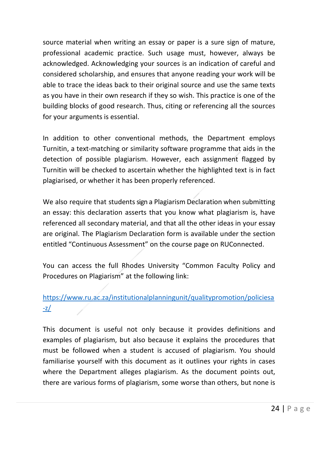source material when writing an essay or paper is a sure sign of mature, professional academic practice. Such usage must, however, always be acknowledged. Acknowledging your sources is an indication of careful and considered scholarship, and ensures that anyone reading your work will be able to trace the ideas back to their original source and use the same texts as you have in their own research if they so wish. This practice is one of the building blocks of good research. Thus, citing or referencing all the sources for your arguments is essential.

In addition to other conventional methods, the Department employs Turnitin, a text-matching or similarity software programme that aids in the detection of possible plagiarism. However, each assignment flagged by Turnitin will be checked to ascertain whether the highlighted text is in fact plagiarised, or whether it has been properly referenced.

We also require that students sign a Plagiarism Declaration when submitting an essay: this declaration asserts that you know what plagiarism is, have referenced all secondary material, and that all the other ideas in your essay are original. The Plagiarism Declaration form is available under the section entitled "Continuous Assessment" on the course page on RUConnected.

You can access the full Rhodes University "Common Faculty Policy and Procedures on Plagiarism" at the following link:

#### [https://www.ru.ac.za/institutionalplanningunit/qualitypromotion/policiesa](https://www.ru.ac.za/institutionalplanningunit/qualitypromotion/policiesa-z/) [-z/](https://www.ru.ac.za/institutionalplanningunit/qualitypromotion/policiesa-z/)

This document is useful not only because it provides definitions and examples of plagiarism, but also because it explains the procedures that must be followed when a student is accused of plagiarism. You should familiarise yourself with this document as it outlines your rights in cases where the Department alleges plagiarism. As the document points out, there are various forms of plagiarism, some worse than others, but none is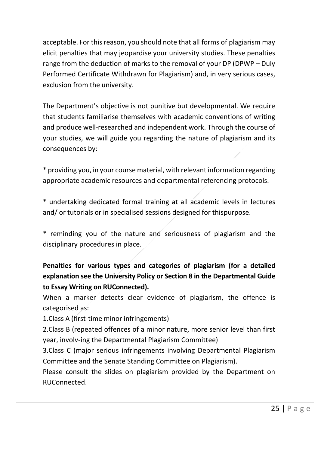acceptable. For this reason, you should note that all forms of plagiarism may elicit penalties that may jeopardise your university studies. These penalties range from the deduction of marks to the removal of your DP (DPWP – Duly Performed Certificate Withdrawn for Plagiarism) and, in very serious cases, exclusion from the university.

The Department's objective is not punitive but developmental. We require that students familiarise themselves with academic conventions of writing and produce well-researched and independent work. Through the course of your studies, we will guide you regarding the nature of plagiarism and its consequences by:

\* providing you, in your course material, with relevant information regarding appropriate academic resources and departmental referencing protocols.

\* undertaking dedicated formal training at all academic levels in lectures and/ or tutorials or in specialised sessions designed for thispurpose.

\* reminding you of the nature and seriousness of plagiarism and the disciplinary procedures in place.

#### **Penalties for various types and categories of plagiarism (for a detailed explanation see the University Policy or Section 8 in the Departmental Guide to Essay Writing on RUConnected).**

When a marker detects clear evidence of plagiarism, the offence is categorised as:

1.Class A (first-time minor infringements)

2.Class B (repeated offences of a minor nature, more senior level than first year, involv-ing the Departmental Plagiarism Committee)

3.Class C (major serious infringements involving Departmental Plagiarism Committee and the Senate Standing Committee on Plagiarism).

Please consult the slides on plagiarism provided by the Department on RUConnected.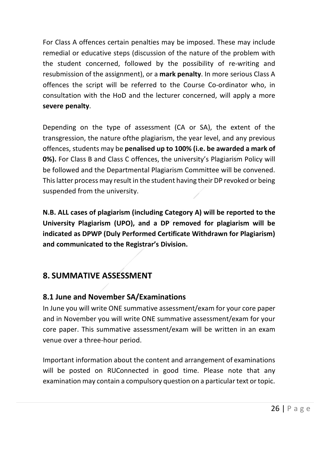For Class A offences certain penalties may be imposed. These may include remedial or educative steps (discussion of the nature of the problem with the student concerned, followed by the possibility of re-writing and resubmission of the assignment), or a **mark penalty**. In more serious Class A offences the script will be referred to the Course Co-ordinator who, in consultation with the HoD and the lecturer concerned, will apply a more **severe penalty**.

Depending on the type of assessment (CA or SA), the extent of the transgression, the nature ofthe plagiarism, the year level, and any previous offences, students may be **penalised up to 100% (i.e. be awarded a mark of 0%).** For Class B and Class C offences, the university's Plagiarism Policy will be followed and the Departmental Plagiarism Committee will be convened. This latter process may result in the student having their DP revoked or being suspended from the university.

**N.B. ALL cases of plagiarism (including Category A) will be reported to the University Plagiarism (UPO), and a DP removed for plagiarism will be indicated as DPWP (Duly Performed Certificate Withdrawn for Plagiarism) and communicated to the Registrar's Division.**

#### <span id="page-29-0"></span>**8. SUMMATIVE ASSESSMENT**

#### **8.1 June and November SA/Examinations**

In June you will write ONE summative assessment/exam for your core paper and in November you will write ONE summative assessment/exam for your core paper. This summative assessment/exam will be written in an exam venue over a three-hour period.

Important information about the content and arrangement of examinations will be posted on RUConnected in good time. Please note that any examination may contain a compulsory question on a particular text or topic.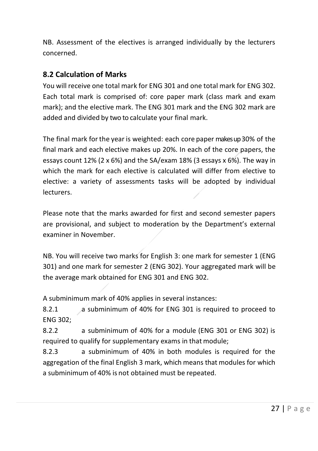NB. Assessment of the electives is arranged individually by the lecturers concerned.

#### <span id="page-30-0"></span>**8.2 Calculation of Marks**

You will receive one total mark for ENG 301 and one total mark for ENG 302. Each total mark is comprised of: core paper mark (class mark and exam mark); and the elective mark. The ENG 301 mark and the ENG 302 mark are added and divided by two to calculate your final mark.

The final mark for the year is weighted: each core paper makes up 30% of the final mark and each elective makes up 20%. In each of the core papers, the essays count 12% (2 x 6%) and the SA/exam 18% (3 essays x 6%). The way in which the mark for each elective is calculated will differ from elective to elective: a variety of assessments tasks will be adopted by individual lecturers.

Please note that the marks awarded for first and second semester papers are provisional, and subject to moderation by the Department's external examiner in November.

NB. You will receive two marks for English 3: one mark for semester 1 (ENG 301) and one mark for semester 2 (ENG 302). Your aggregated mark will be the average mark obtained for ENG 301 and ENG 302.

A subminimum mark of 40% applies in several instances:

8.2.1 a subminimum of 40% for ENG 301 is required to proceed to ENG 302;

8.2.2 a subminimum of 40% for a module (ENG 301 or ENG 302) is required to qualify for supplementary exams in that module;

8.2.3 a subminimum of 40% in both modules is required for the aggregation of the final English 3 mark, which means that modules for which a subminimum of 40% is not obtained must be repeated.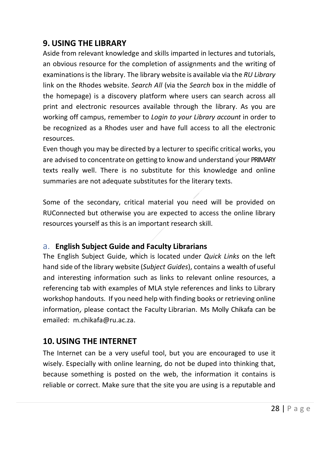#### <span id="page-31-0"></span>**9. USING THE LIBRARY**

Aside from relevant knowledge and skills imparted in lectures and tutorials, an obvious resource for the completion of assignments and the writing of examinationsis the library. The library website is available via the *RU Library*  link on the Rhodes website. *Search All* (via the *Search* box in the middle of the homepage) is a discovery platform where users can search across all print and electronic resources available through the library. As you are working off campus, remember to *Login to your Library account* in order to be recognized as a Rhodes user and have full access to all the electronic resources.

Even though you may be directed by a lecturer to specific critical works, you are advised to concentrate on getting to know and understand your PRIMARY texts really well. There is no substitute for this knowledge and online summaries are not adequate substitutes for the literary texts.

Some of the secondary, critical material you need will be provided on RUConnected but otherwise you are expected to access the online library resources yourself as this is an important research skill.

#### a. **English Subject Guide and Faculty Librarians**

The English Subject Guide, which is located under *Quick Links* on the left hand side of the library website (*Subject Guides*), contains a wealth of useful and interesting information such as links to relevant online resources, a referencing tab with examples of MLA style references and links to Library workshop handouts. If you need help with finding books or retrieving online information, please contact the Faculty Librarian. Ms Molly Chikafa can be emailed: m.chikafa@ru.ac.za.

#### <span id="page-31-1"></span>**10.USING THE INTERNET**

The Internet can be a very useful tool, but you are encouraged to use it wisely. Especially with online learning, do not be duped into thinking that, because something is posted on the web, the information it contains is reliable or correct. Make sure that the site you are using is a reputable and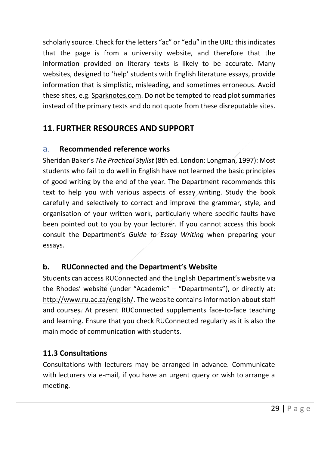scholarly source. Check for the letters "ac" or "edu" in the URL: this indicates that the page is from a university website, and therefore that the information provided on literary texts is likely to be accurate. Many websites, designed to 'help' students with English literature essays, provide information that is simplistic, misleading, and sometimes erroneous. Avoid these sites, e.g. Sparknotes.com. Do not be tempted to read plot summaries instead of the primary texts and do not quote from these disreputable sites.

#### <span id="page-32-0"></span>**11. FURTHER RESOURCES AND SUPPORT**

#### <span id="page-32-1"></span>a. **Recommended reference works**

Sheridan Baker's *The Practical Stylist* (8th ed. London: Longman, 1997): Most students who fail to do well in English have not learned the basic principles of good writing by the end of the year. The Department recommends this text to help you with various aspects of essay writing. Study the book carefully and selectively to correct and improve the grammar, style, and organisation of your written work, particularly where specific faults have been pointed out to you by your lecturer. If you cannot access this book consult the Department's *Guide to Essay Writing* when preparing your essays.

#### **b. RUConnected and the Department's Website**

Students can access RUConnected and the English Department's website via the Rhodes' website (under "Academic" – "Departments"), or directly at: [http://www.ru.ac.za/english/.](http://www.ru.ac.za/english/) The website contains information about staff and courses. At present RUConnected supplements face-to-face teaching and learning. Ensure that you check RUConnected regularly as it is also the main mode of communication with students.

#### **11.3 Consultations**

Consultations with lecturers may be arranged in advance. Communicate with lecturers via e-mail, if you have an urgent query or wish to arrange a meeting.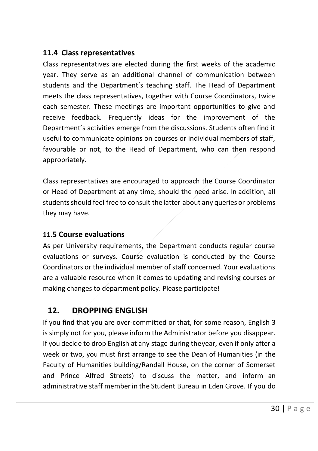#### <span id="page-33-0"></span>**11.4 Class representatives**

Class representatives are elected during the first weeks of the academic year. They serve as an additional channel of communication between students and the Department's teaching staff. The Head of Department meets the class representatives, together with Course Coordinators, twice each semester. These meetings are important opportunities to give and receive feedback. Frequently ideas for the improvement of the Department's activities emerge from the discussions. Students often find it useful to communicate opinions on courses or individual members of staff, favourable or not, to the Head of Department, who can then respond appropriately.

Class representatives are encouraged to approach the Course Coordinator or Head of Department at any time, should the need arise. In addition, all students should feel free to consult the latter about any queries or problems they may have.

#### <span id="page-33-1"></span>**11.5 Course evaluations**

As per University requirements, the Department conducts regular course evaluations or surveys. Course evaluation is conducted by the Course Coordinators or the individual member of staff concerned. Your evaluations are a valuable resource when it comes to updating and revising courses or making changes to department policy. Please participate!

#### **12. DROPPING ENGLISH**

<span id="page-33-2"></span>If you find that you are over-committed or that, for some reason, English 3 is simply not for you, please inform the Administrator before you disappear. If you decide to drop English at any stage during theyear, even if only after a week or two, you must first arrange to see the Dean of Humanities (in the Faculty of Humanities building/Randall House, on the corner of Somerset and Prince Alfred Streets) to discuss the matter, and inform an administrative staff memberin the Student Bureau in Eden Grove. If you do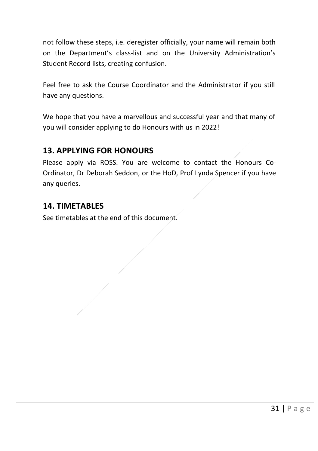not follow these steps, i.e. deregister officially, your name will remain both on the Department's class-list and on the University Administration's Student Record lists, creating confusion.

Feel free to ask the Course Coordinator and the Administrator if you still have any questions.

We hope that you have a marvellous and successful year and that many of you will consider applying to do Honours with us in 2022!

#### **13. APPLYING FOR HONOURS**

Please apply via ROSS. You are welcome to contact the Honours Co-Ordinator, Dr Deborah Seddon, or the HoD, Prof Lynda Spencer if you have any queries.

#### **14. TIMETABLES**

See timetables at the end of this document.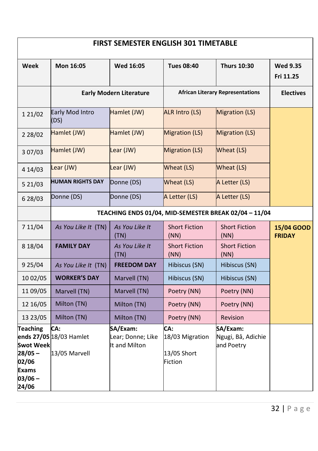| <b>FIRST SEMESTER ENGLISH 301 TIMETABLE</b>                                              |                                                 |                                                |                                                  |                                                       |                              |
|------------------------------------------------------------------------------------------|-------------------------------------------------|------------------------------------------------|--------------------------------------------------|-------------------------------------------------------|------------------------------|
| Week                                                                                     | Mon 16:05                                       | Wed 16:05                                      | <b>Tues 08:40</b>                                | <b>Thurs 10:30</b>                                    | <b>Wed 9.35</b><br>Fri 11.25 |
|                                                                                          | <b>Early Modern Literature</b>                  |                                                |                                                  | <b>African Literary Representations</b>               | <b>Electives</b>             |
| 1 21/02                                                                                  | Early Mod Intro<br>(DS)                         | Hamlet (JW)                                    | <b>ALR Intro (LS)</b>                            | <b>Migration (LS)</b>                                 |                              |
| 2 2 8 / 0 2                                                                              | Hamlet (JW)                                     | Hamlet (JW)                                    | <b>Migration (LS)</b>                            | <b>Migration (LS)</b>                                 |                              |
| 3 07/03                                                                                  | Hamlet (JW)                                     | Lear (JW)                                      | <b>Migration (LS)</b>                            | Wheat (LS)                                            |                              |
| 4 14/03                                                                                  | Lear (JW)                                       | Lear (JW)                                      | Wheat (LS)                                       | Wheat (LS)                                            |                              |
| 521/03                                                                                   | <b>HUMAN RIGHTS DAY</b>                         | Donne (DS)                                     | Wheat (LS)                                       | A Letter (LS)                                         |                              |
| 6 28/03                                                                                  | Donne (DS)                                      | Donne (DS)                                     | A Letter (LS)                                    | A Letter (LS)                                         |                              |
|                                                                                          |                                                 |                                                |                                                  | TEACHING ENDS 01/04, MID-SEMESTER BREAK 02/04 - 11/04 |                              |
| 7 11/04                                                                                  | As You Like It (TN)                             | As You Like It<br>(TN)                         | <b>Short Fiction</b><br>(NN)                     | <b>Short Fiction</b><br>(NN)                          | 15/04 GOOD<br><b>FRIDAY</b>  |
| 8 18/04                                                                                  | <b>FAMILY DAY</b>                               | As You Like It<br>(TN)                         | <b>Short Fiction</b><br>(NN)                     | <b>Short Fiction</b><br>(NN)                          |                              |
| 9 25/04                                                                                  | As You Like It (TN)                             | <b>FREEDOM DAY</b>                             | Hibiscus (SN)                                    | Hibiscus (SN)                                         |                              |
| 10 02/05                                                                                 | <b>WORKER'S DAY</b>                             | Marvell (TN)                                   | Hibiscus (SN)                                    | Hibiscus (SN)                                         |                              |
| 11 09/05                                                                                 | Marvell (TN)                                    | Marvell (TN)                                   | Poetry (NN)                                      | Poetry (NN)                                           |                              |
| 12 16/05                                                                                 | Milton (TN)                                     | Milton (TN)                                    | Poetry (NN)                                      | Poetry (NN)                                           |                              |
| 13 23/05                                                                                 | Milton (TN)                                     | Milton (TN)                                    | Poetry (NN)                                      | <b>Revision</b>                                       |                              |
| Teaching<br><b>Swot Week</b><br>$28/05 -$<br>02/06<br><b>Exams</b><br>$03/06 -$<br>24/06 | CA:<br>ends 27/05 18/03 Hamlet<br>13/05 Marvell | SA/Exam:<br>Lear; Donne; Like<br>It and Milton | CA:<br>18/03 Migration<br>13/05 Short<br>Fiction | SA/Exam:<br>Ngugi, Bâ, Adichie<br>and Poetry          |                              |